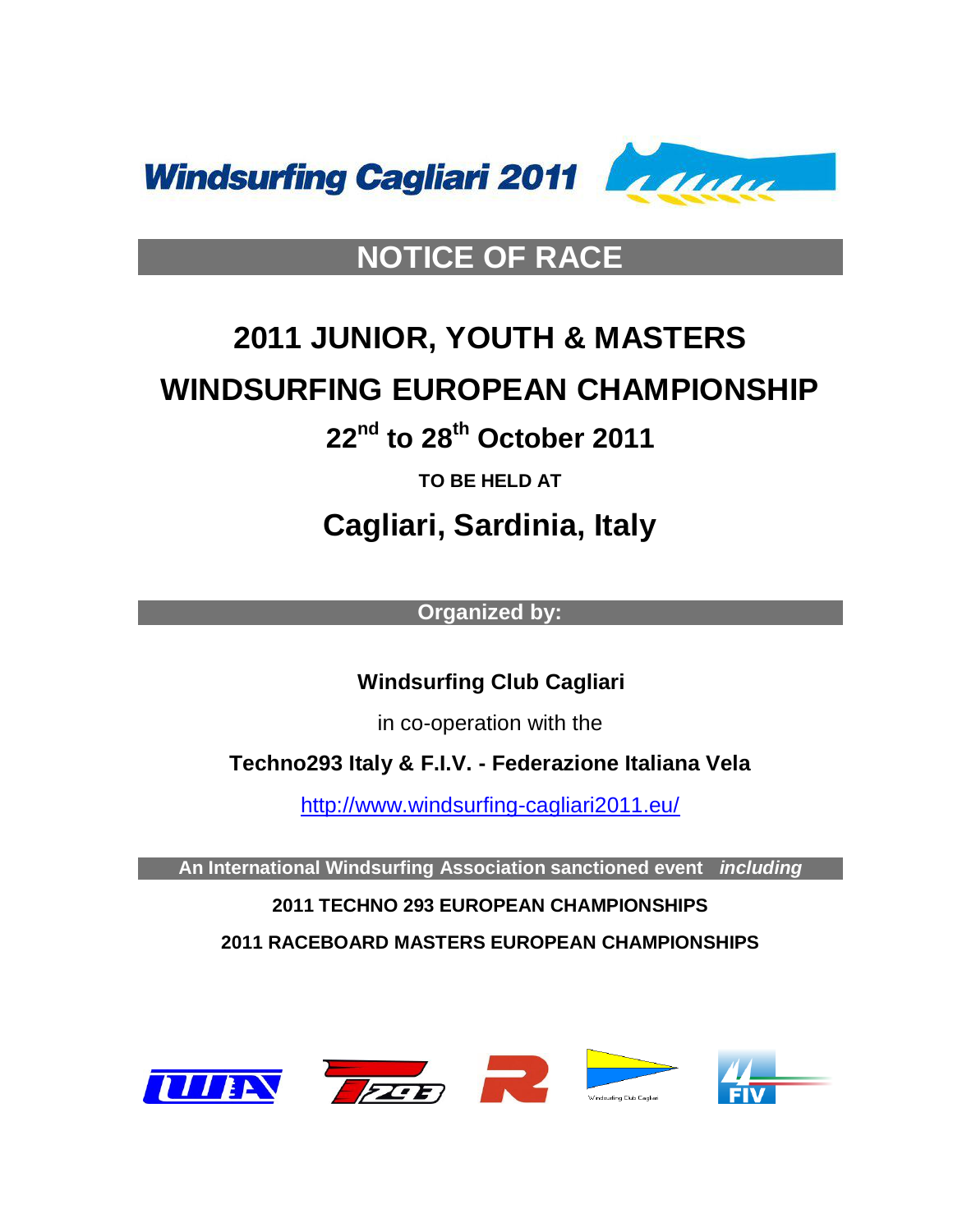

# **NOTICE OF RACE**

# **2011 JUNIOR, YOUTH & MASTERS WINDSURFING EUROPEAN CHAMPIONSHIP**

# **22 nd to 28 th October 2011**

**TO BE HELD AT**

**Cagliari, Sardinia, Italy**

**Organized by:**

 **Windsurfing Club Cagliari**

in co-operation with the

**Techno293 Italy & F.I.V. - Federazione Italiana Vela**

<http://www.windsurfing-cagliari2011.eu/>

**An International Windsurfing Association sanctioned event** *including*

**2011 TECHNO 293 EUROPEAN CHAMPIONSHIPS**

**2011 RACEBOARD MASTERS EUROPEAN CHAMPIONSHIPS**

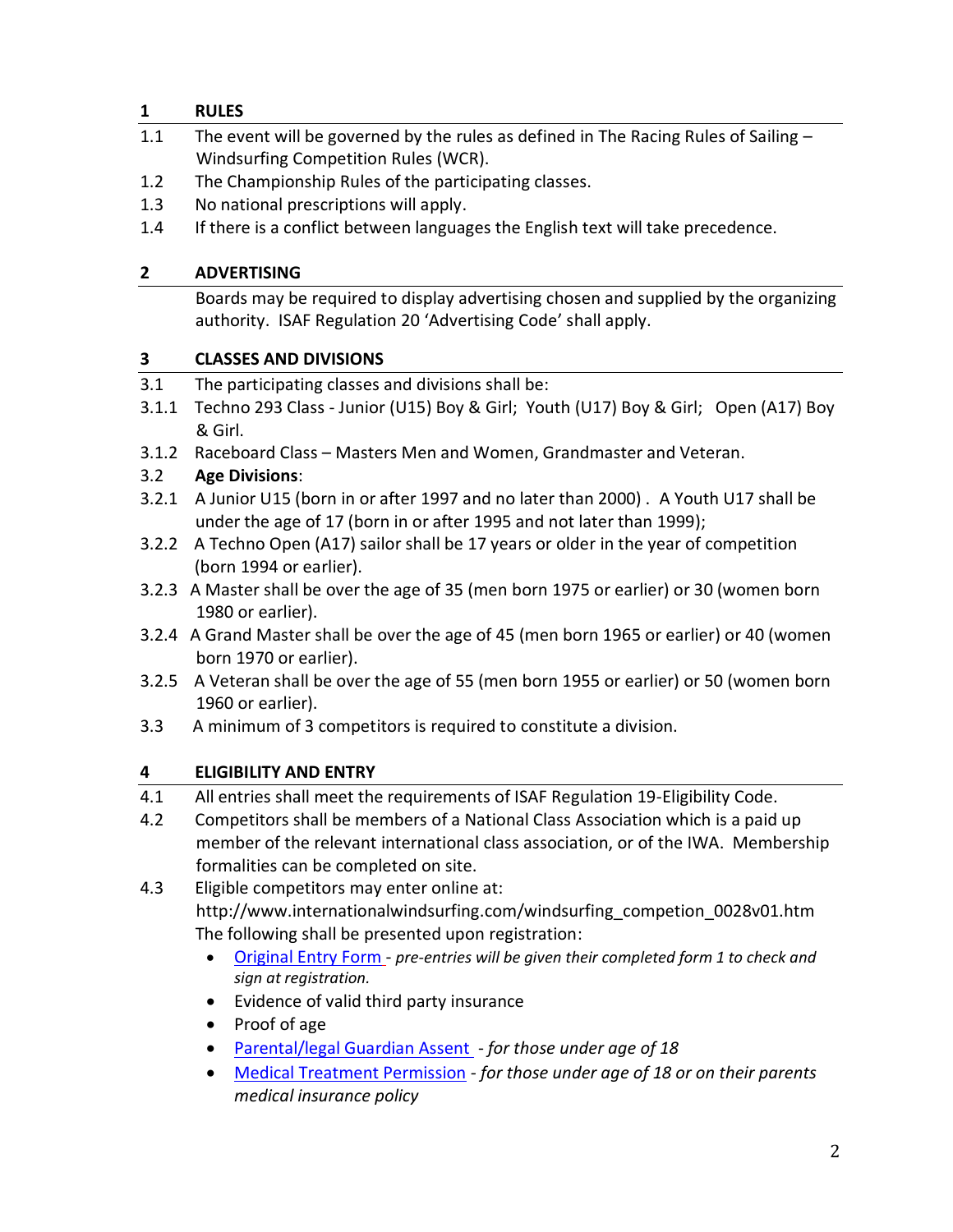#### **1 RULES**

- 1.1 The event will be governed by the rules as defined in The Racing Rules of Sailing -Windsurfing Competition Rules (WCR).
- 1.2 The Championship Rules of the participating classes.
- 1.3 No national prescriptions will apply.
- 1.4 If there is a conflict between languages the English text will take precedence.

## **2 ADVERTISING**

Boards may be required to display advertising chosen and supplied by the organizing authority. ISAF Regulation 20 'Advertising Code' shall apply.

## **3 CLASSES AND DIVISIONS**

- 3.1 The participating classes and divisions shall be:
- 3.1.1 Techno 293 Class Junior (U15) Boy & Girl; Youth (U17) Boy & Girl; Open (A17) Boy & Girl.
- 3.1.2 Raceboard Class Masters Men and Women, Grandmaster and Veteran.

# 3.2 **Age Divisions**:

- 3.2.1 A Junior U15 (born in or after 1997 and no later than 2000) . A Youth U17 shall be under the age of 17 (born in or after 1995 and not later than 1999);
- 3.2.2 A Techno Open (A17) sailor shall be 17 years or older in the year of competition (born 1994 or earlier).
- 3.2.3 A Master shall be over the age of 35 (men born 1975 or earlier) or 30 (women born 1980 or earlier).
- 3.2.4 A Grand Master shall be over the age of 45 (men born 1965 or earlier) or 40 (women born 1970 or earlier).
- 3.2.5 A Veteran shall be over the age of 55 (men born 1955 or earlier) or 50 (women born 1960 or earlier).
- 3.3 A minimum of 3 competitors is required to constitute a division.

# **4 ELIGIBILITY AND ENTRY**

- 4.1 All entries shall meet the requirements of ISAF Regulation 19-Eligibility Code.
- 4.2 Competitors shall be members of a National Class Association which is a paid up member of the relevant international class association, or of the IWA. Membership formalities can be completed on site.

4.3 Eligible competitors may enter online at: http://www.internationalwindsurfing.com/windsurfing\_competion\_0028v01.htm The following shall be presented upon registration:

- [Original Entry Form](http://www.internationalwindsurfing.com/userfiles/documents/JYM_Europeans_Cagliari_2011_Form_1.pdf) *pre-entries will be given their completed form 1 to check and sign at registration.*
- Evidence of valid third party insurance
- Proof of age
- [Parental/legal Guardian Assent](http://www.internationalwindsurfing.com/userfiles/documents/JYM_Europeans_Cagliari_2011_Form_2.pdf)  *for those under age of 18*
- [Medical Treatment Permission](http://www.internationalwindsurfing.com/userfiles/documents/JYM_Europeans_Cagliari_2011_Form_3.pdf) *- for those under age of 18 or on their parents medical insurance policy*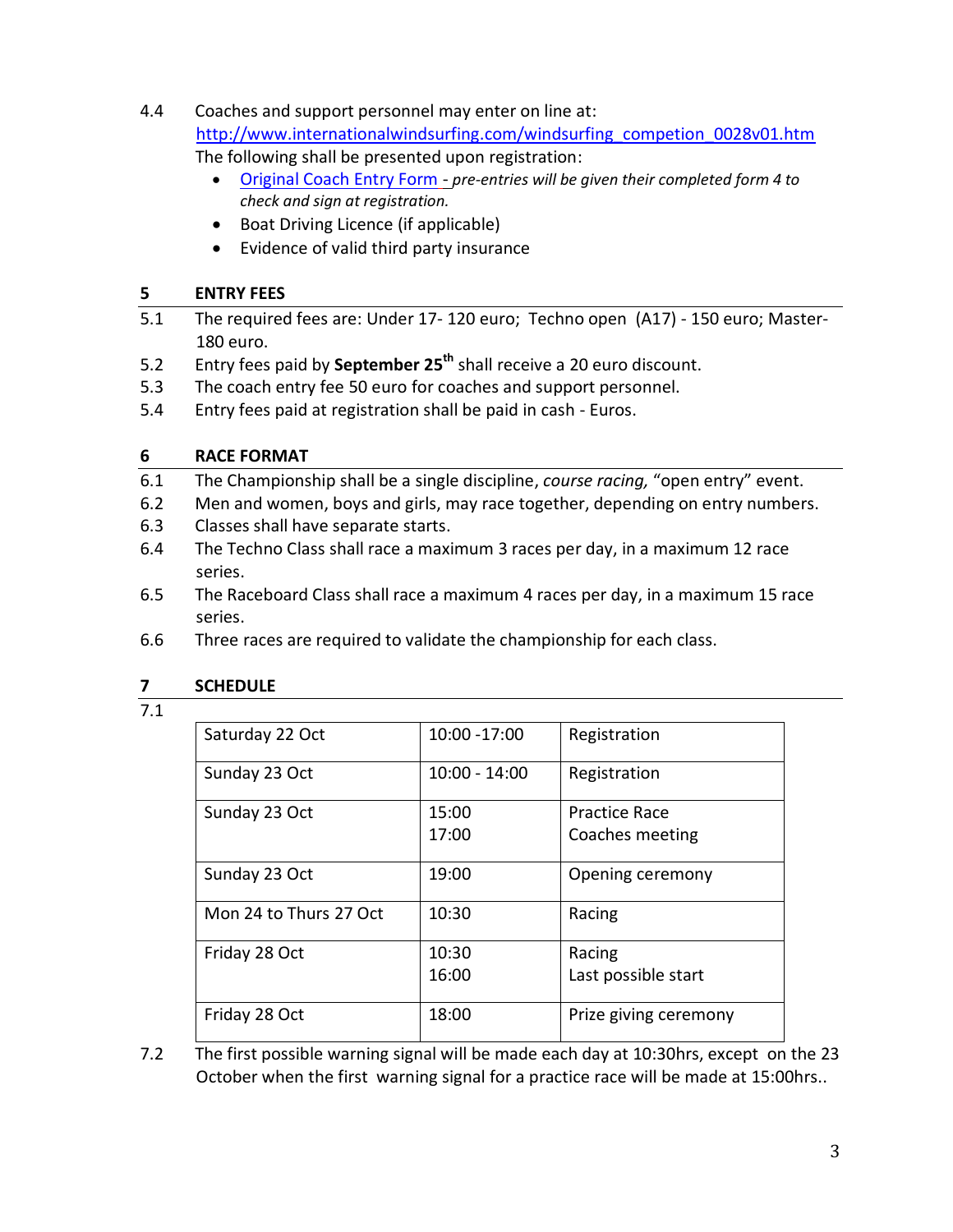- 4.4 Coaches and support personnel may enter on line at: [http://www.internationalwindsurfing.com/windsurfing\\_competion\\_0028v01.htm](http://www.internationalwindsurfing.com/windsurfing_competion_0028v01.htm) The following shall be presented upon registration:
	- [Original Coach Entry Form](http://www.internationalwindsurfing.com/userfiles/documents/JYM_Europeans_Cagliari_2011_Form_4.pdf) *pre-entries will be given their completed form 4 to check and sign at registration.*
	- Boat Driving Licence (if applicable)
	- Evidence of valid third party insurance

#### **5 ENTRY FEES**

- 5.1 The required fees are: Under 17- 120 euro; Techno open (A17) 150 euro; Master-180 euro.
- 5.2 Entry fees paid by **September 25th** shall receive a 20 euro discount.
- 5.3 The coach entry fee 50 euro for coaches and support personnel.
- 5.4 Entry fees paid at registration shall be paid in cash Euros.

## **6 RACE FORMAT**

- 6.1 The Championship shall be a single discipline, *course racing,* "open entry" event.
- 6.2 Men and women, boys and girls, may race together, depending on entry numbers.
- 6.3 Classes shall have separate starts.
- 6.4 The Techno Class shall race a maximum 3 races per day, in a maximum 12 race series.
- 6.5 The Raceboard Class shall race a maximum 4 races per day, in a maximum 15 race series.
- 6.6 Three races are required to validate the championship for each class.

#### **7 SCHEDULE**

7.1

| Saturday 22 Oct        | 10:00 -17:00    | Registration          |
|------------------------|-----------------|-----------------------|
| Sunday 23 Oct          | $10:00 - 14:00$ | Registration          |
| Sunday 23 Oct          | 15:00           | <b>Practice Race</b>  |
|                        | 17:00           | Coaches meeting       |
| Sunday 23 Oct          | 19:00           | Opening ceremony      |
| Mon 24 to Thurs 27 Oct | 10:30           | Racing                |
| Friday 28 Oct          | 10:30           | Racing                |
|                        | 16:00           | Last possible start   |
| Friday 28 Oct          | 18:00           | Prize giving ceremony |

7.2 The first possible warning signal will be made each day at 10:30hrs, except on the 23 October when the first warning signal for a practice race will be made at 15:00hrs..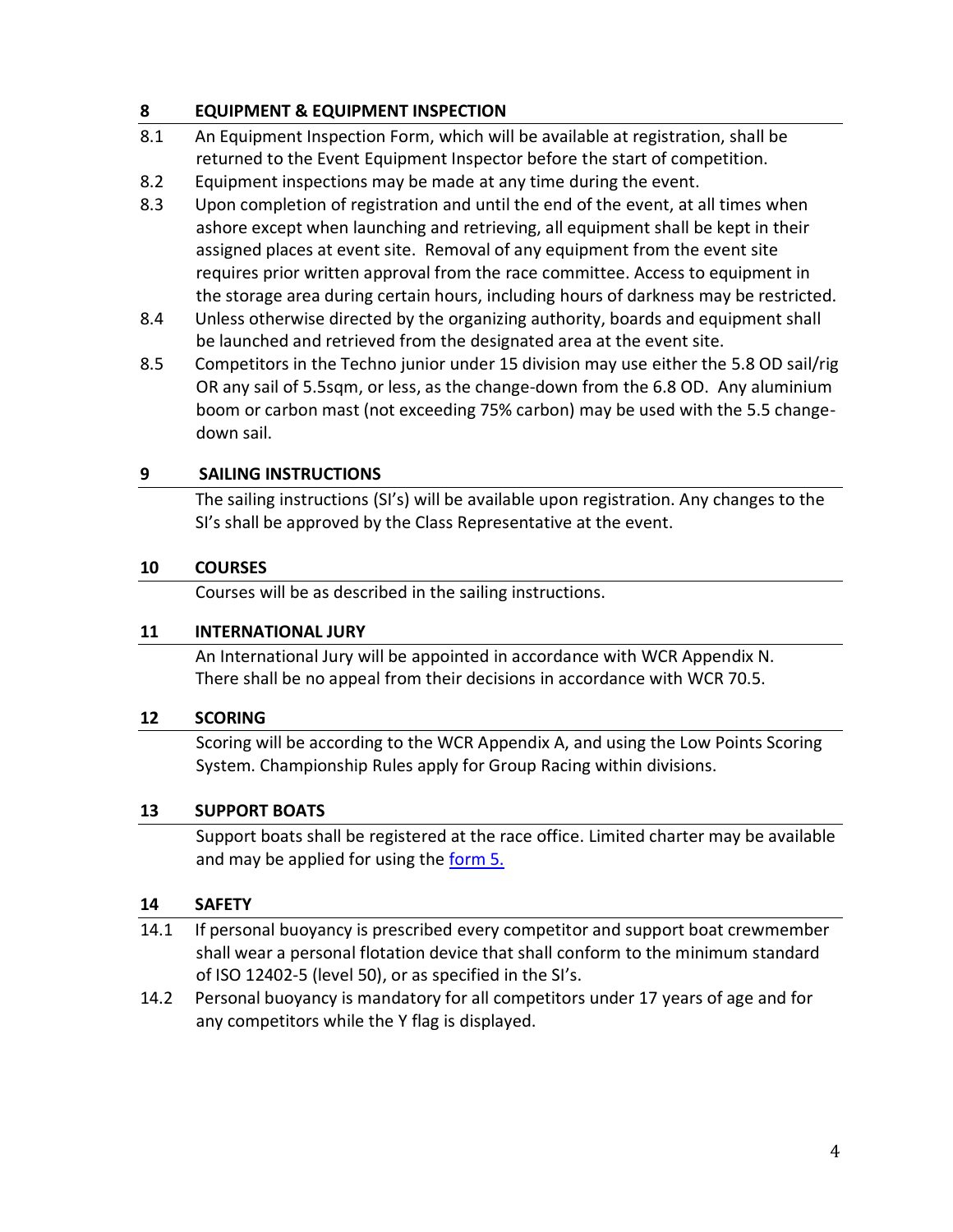#### **8 EQUIPMENT & EQUIPMENT INSPECTION**

- 8.1 An Equipment Inspection Form, which will be available at registration, shall be returned to the Event Equipment Inspector before the start of competition.
- 8.2 Equipment inspections may be made at any time during the event.
- 8.3 Upon completion of registration and until the end of the event, at all times when ashore except when launching and retrieving, all equipment shall be kept in their assigned places at event site. Removal of any equipment from the event site requires prior written approval from the race committee. Access to equipment in the storage area during certain hours, including hours of darkness may be restricted.
- 8.4 Unless otherwise directed by the organizing authority, boards and equipment shall be launched and retrieved from the designated area at the event site.
- 8.5 Competitors in the Techno junior under 15 division may use either the 5.8 OD sail/rig OR any sail of 5.5sqm, or less, as the change-down from the 6.8 OD. Any aluminium boom or carbon mast (not exceeding 75% carbon) may be used with the 5.5 changedown sail.

#### **9 SAILING INSTRUCTIONS**

The sailing instructions (SI's) will be available upon registration. Any changes to the SI's shall be approved by the Class Representative at the event.

## **10 COURSES**

Courses will be as described in the sailing instructions.

#### **11 INTERNATIONAL JURY**

An International Jury will be appointed in accordance with WCR Appendix N. There shall be no appeal from their decisions in accordance with WCR 70.5.

#### **12 SCORING**

Scoring will be according to the WCR Appendix A, and using the Low Points Scoring System. Championship Rules apply for Group Racing within divisions.

#### **13 SUPPORT BOATS**

Support boats shall be registered at the race office. Limited charter may be available and may be applied for using the [form 5.](http://www.internationalwindsurfing.com/userfiles/documents/JYM_Europeans_Cagliari_2011_Form_5.pdf)

#### **14 SAFETY**

- 14.1 If personal buoyancy is prescribed every competitor and support boat crewmember shall wear a personal flotation device that shall conform to the minimum standard of ISO 12402-5 (level 50), or as specified in the SI's.
- 14.2 Personal buoyancy is mandatory for all competitors under 17 years of age and for any competitors while the Y flag is displayed.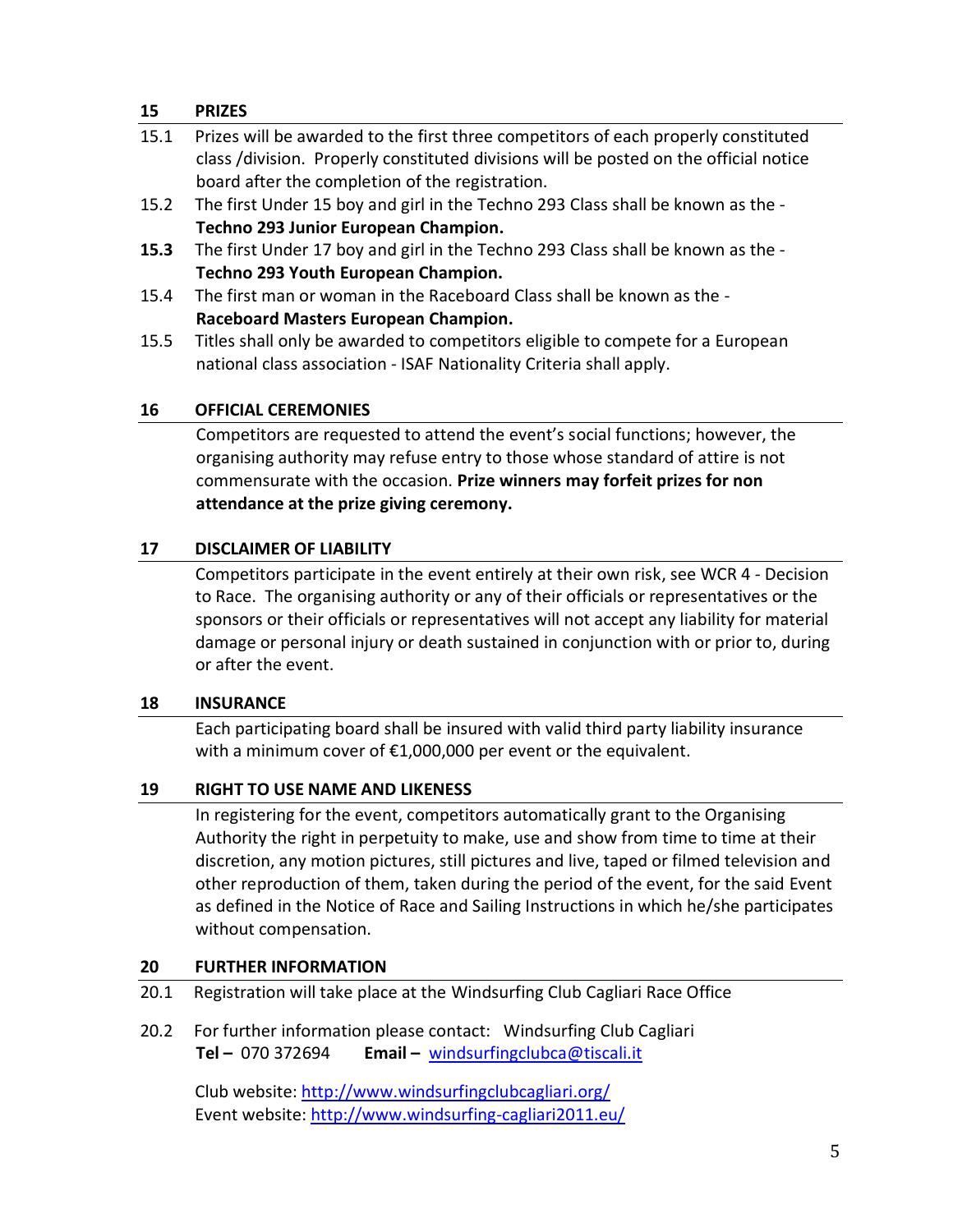#### **15 PRIZES**

| 15.1 | Prizes will be awarded to the first three competitors of each properly constituted    |
|------|---------------------------------------------------------------------------------------|
|      | class /division. Properly constituted divisions will be posted on the official notice |
|      | board after the completion of the registration.                                       |
| 15.2 | The first Under 15 boy and girl in the Techno 293 Class shall be known as the -       |
|      | Techno 293 Junior European Champion.                                                  |
| 15.3 | The first Under 17 boy and girl in the Techno 293 Class shall be known as the -       |
|      | Techno 293 Youth European Champion.                                                   |
| 15.4 | The first man or woman in the Raceboard Class shall be known as the -                 |
|      | Raceboard Masters European Champion.                                                  |
| 15.5 | Titles shall only be awarded to competitors eligible to compete for a European        |
|      | national class association - ISAF Nationality Criteria shall apply.                   |

#### **16 OFFICIAL CEREMONIES**

Competitors are requested to attend the event's social functions; however, the organising authority may refuse entry to those whose standard of attire is not commensurate with the occasion. **Prize winners may forfeit prizes for non attendance at the prize giving ceremony.**

#### **17 DISCLAIMER OF LIABILITY**

Competitors participate in the event entirely at their own risk, see WCR 4 - Decision to Race. The organising authority or any of their officials or representatives or the sponsors or their officials or representatives will not accept any liability for material damage or personal injury or death sustained in conjunction with or prior to, during or after the event.

#### **18 INSURANCE**

Each participating board shall be insured with valid third party liability insurance with a minimum cover of €1,000,000 per event or the equivalent.

#### **19 RIGHT TO USE NAME AND LIKENESS**

In registering for the event, competitors automatically grant to the Organising Authority the right in perpetuity to make, use and show from time to time at their discretion, any motion pictures, still pictures and live, taped or filmed television and other reproduction of them, taken during the period of the event, for the said Event as defined in the Notice of Race and Sailing Instructions in which he/she participates without compensation.

#### **20 FURTHER INFORMATION**

- 20.1 Registration will take place at the Windsurfing Club Cagliari Race Office
- 20.2 For further information please contact: Windsurfing Club Cagliari **Tel –** 070 372694 **Email –** [windsurfingclubca@tiscali.it](mailto:windsurfingclubca@tiscali.it)

Club website:<http://www.windsurfingclubcagliari.org/> Event website:<http://www.windsurfing-cagliari2011.eu/>